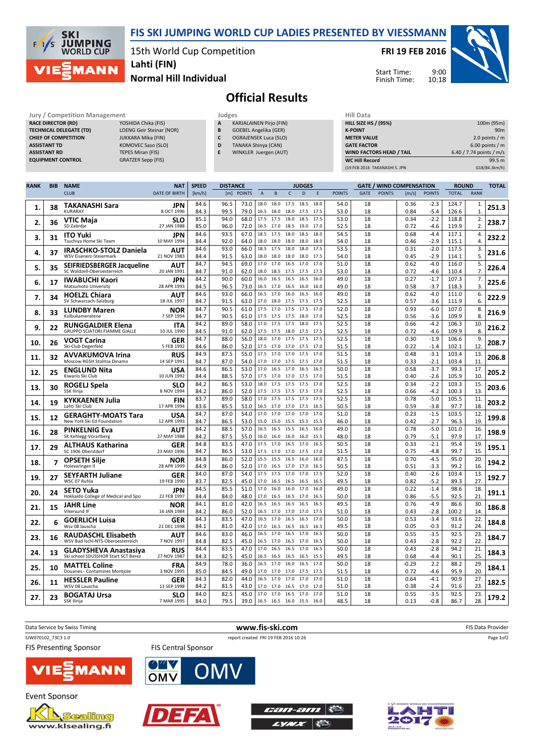

15th World Cup Competition

FRI 19 FEB 2016

Start Time: Finish Time:

9:00 10:18



Normal Hill Individual Lahti (FIN)

## Official Results

Judges Judges Hill Exercise Management Judges Judges Hill Data Competition Management American Competition of the Hill Data Competition of the Hill Data Competition of the Management American Competition of the Hill Data C RACE DIRECTOR (RD) TECHNICAL DELEGATE (T **CHIEF OF COMPETITION ASSISTANT TD ASSISTANT RD** EQUIPMENT CONTROL

**SKI** 

 $\mathcal{L}$ k **JUMPING**<br>WORLD CUP

**MANN** 

| <u>IVIGHGECHICHL</u> |                                |
|----------------------|--------------------------------|
|                      | YOSHIDA Chika (FIS)            |
| D)                   | <b>LOENG Geir Steinar (NOF</b> |
|                      | JUKKARA Mika (FIN)             |
|                      | KOMOVEC Saso (SLO)             |
|                      | <b>TEPES Miran (FIS)</b>       |
|                      | <b>GRATZER Sepp (FIS)</b>      |
|                      |                                |

- **KARJALAINEN Pirjo (FIN)** B GOEBEL Angelika (GER) C OGRAJENSEK Luca (SLO)
- D TANAKA Shinya (CAN)
- E WINKLER Juergen (AUT)

| HIII Data                       |                          |
|---------------------------------|--------------------------|
| <b>HILL SIZE HS / (95%)</b>     | 100m (95m)               |
| <b>K-POINT</b>                  | 90 <sub>m</sub>          |
| <b>METER VALUE</b>              | 2.0 points $/m$          |
| <b>GATE FACTOR</b>              | $6.00$ points / m        |
| <b>WIND FACTORS HEAD / TAIL</b> | 6.40 / 7.74 points / m/s |
| <b>WC Hill Record</b>           | 99.5 m                   |
| (19 FEB 2016 TAKANASHI S. JPN   | G18/84.3km/h)            |

| <b>RANK</b> | <b>BIB</b> | <b>NAME</b>                                                         | <b>NAT</b>                | <b>SPEED</b> | <b>DISTANCE</b> |               |                 |                        |              | <b>JUDGES</b> |              |               | <b>GATE / WIND COMPENSATION</b> |               |              |                  | <b>ROUND</b>   |                      | <b>TOTAL</b> |
|-------------|------------|---------------------------------------------------------------------|---------------------------|--------------|-----------------|---------------|-----------------|------------------------|--------------|---------------|--------------|---------------|---------------------------------|---------------|--------------|------------------|----------------|----------------------|--------------|
|             |            | <b>CLUB</b>                                                         | <b>DATE OF BIRTH</b>      | [km/h]       | [m]             | <b>POINTS</b> | $\mathsf A$     | $\,$ B                 | $\mathsf{C}$ | D             | E            | <b>POINTS</b> | <b>GATE</b>                     | <b>POINTS</b> | [m/s]        | <b>POINTS</b>    | <b>TOTAL</b>   | <b>RANK</b>          |              |
| 1.          | 38         | <b>TAKANASHI Sara</b><br><b>KURARAY</b>                             | JPN<br>8 OCT 1996         | 84.6<br>84.3 | 96.5<br>99.5    | 73.0<br>79.0  | 18.0<br>16.5    | 18.0 17.5<br>18.0 18.0 |              | 18.5<br>17.5  | 18.0<br>17.5 | 54.0<br>53.0  | 18<br>18                        |               | 0.36<br>0.84 | $-2.3$<br>$-5.4$ | 124.7<br>126.6 | 1.<br>$\mathbf{1}$   | 251.3        |
| 2.          | 36         | VTIC Maja<br>SD Zabrdje                                             | <b>SLO</b><br>27 JAN 1988 | 85.1<br>85.0 | 94.0<br>96.0    | 68.0<br>72.0  | 17.5<br>16.5    | 17.5<br>17.0           | 18.0<br>18.5 | 18.5<br>19.0  | 17.5<br>17.0 | 53.0<br>52.5  | 18<br>18                        |               | 0.34<br>0.72 | $-2.2$<br>$-4.6$ | 118.8<br>119.9 | 2.<br>$\overline{2}$ | 238.7        |
| 3.          | 31         | <b>ITO Yuki</b><br>Tsuchiya Home Ski Team                           | <b>JPN</b><br>10 MAY 1994 | 84.6<br>84.4 | 93.5<br>92.0    | 67.0<br>64.0  | 18.0            | 18.5 17.5<br>18.0      | 18.0<br>18.0 | 18.5<br>18.0  | 18.0<br>18.0 | 54.5<br>54.0  | 18<br>18                        |               | 0.68<br>0.46 | $-4.4$<br>$-2.9$ | 117.1<br>115.1 | 4.<br>4.             | 232.2        |
|             |            | <b>IRASCHKO-STOLZ Daniela</b>                                       | AUT                       | 84.6         | 93.0            | 66.0          | 18.5            | 17.5                   | 18.0         | 18.0          | 17.5         | 53.5          | 18                              |               | 0.31         | $-2.0$           | 117.5          | 3.                   |              |
| 4.          | 37         | WSV Eisenerz-Steiermark                                             | 21 NOV 1983               | 84.4         | 91.5            | 63.0          | 18.0            | 18.0                   | 18.0         | 18.0          | 17.5         | 54.0          | 18                              |               | 0.45         | $-2.9$           | 114.1          | 5.                   | 231.6        |
| 5.          | 35         | SEIFRIEDSBERGER Jacqueline<br>SC Waldzell-Oberoesterreich           | <b>AUT</b><br>20 JAN 1991 | 84.7<br>84.7 | 94.5<br>91.0    | 69.0<br>62.0  | 17.0<br>18.0    | 17.0<br>18.5           | 16.5<br>17.5 | 17.0<br>17.5  | 17.0<br>17.5 | 51.0<br>53.0  | 18<br>18                        |               | 0.62<br>0.72 | $-4.0$<br>$-4.6$ | 116.0<br>110.4 | 5.<br>7.             | 226.4        |
|             |            | <b>IWABUCHI Kaori</b>                                               | JPN                       | 84.2         | 90.0            | 60.0          | 16.0            | 16.5                   | 16.5         | 16.5          | 16.0         | 49.0          | 18                              |               | 0.27         | $-1.7$           | 107.3          | 7.                   |              |
| 6.          | 17         | Matsumoto University                                                | 28 APR 1993               | 84.5         | 96.5            | 73.0          | 16.5            | 17.0                   | 16.5         | 16.0          | 16.0         | 49.0          | 18                              |               | 0.58         | $-3.7$           | 118.3          | 3.                   | 225.6        |
| 7.          | 34         | <b>HOELZL Chiara</b><br>SV Schwarzach-Salzburg                      | AUT<br>18 JUL 1997        | 84.6<br>84.7 | 93.0<br>91.5    | 66.0<br>63.0  | 16.5<br>17.0    | 17.0<br>18.0           | 16.0<br>17.5 | 16.5<br>17.5  | 16.0<br>17.5 | 49.0<br>52.5  | 18<br>18                        |               | 0.62<br>0.57 | $-4.0$<br>$-3.6$ | 111.0<br>111.9 | 6.<br>6.             | 222.9        |
|             |            | <b>LUNDBY Maren</b>                                                 | NOR                       | 84.7         | 90.5            | 61.0          | 17.5            | 17.0                   | 17.5         | 17.5          | 17.0         | 52.0          | 18                              |               | 0.93         | $-6.0$           | 107.0          | 8.                   |              |
| 8.          | 33         | Kolbukameratene                                                     | 7 SEP 1994                | 84.7         | 90.5            | 61.0          | 17.5            | 17.5 17.5              |              | 18.0          | 17.0         | 52.5          | 18                              |               | 0.56         | $-3.6$           | 109.9          | 8.                   | 216.9        |
| 9.          | 22         | <b>RUNGGALDIER Elena</b>                                            | <b>ITA</b>                | 84.2         | 89.0            | 58.0          | 17.0            | 17.5                   | 17.5         | 18.0          | 17.5         | 52.5          | 18                              |               | 0.66         | $-4.2$           | 106.3          | 10                   | 216.2        |
|             |            | <b>GRUPPO SCIATORI FIAMME GIALLE</b>                                | 10 JUL 1990               | 84.5         | 91.0            | 62.0          | 17.5            | 17.5                   | 18.0         | 17.5          | 17.5         | 52.5          | 18                              |               | 0.72         | $-4.6$           | 109.9          | 8                    |              |
| 10.         | 26         | VOGT Carina                                                         | GER                       | 84.7         | 88.0            | 56.0          | 18.0            | 17.0                   | 17.5         | 17.5          | 17.5         | 52.5<br>51.5  | 18<br>18                        |               | 0.30<br>0.22 | $-1.9$           | 106.6          | 9.<br>12             | 208.7        |
|             |            | Ski-Club Degenfeld                                                  | 5 FEB 1992                | 84.6<br>84.9 | 86.0<br>87.5    | 52.0<br>55.0  | 17.5<br>17.5    | 17.0 17.0<br>17.0      | 17.0         | 17.5<br>17.5  | 17.0<br>17.0 | 51.5          | 18                              |               | 0.48         | $-1.4$<br>$-3.1$ | 102.1<br>103.4 | 13                   |              |
| 11.         | 32         | <b>AVVAKUMOVA Irina</b><br>Moscow RGSH Stolitsa Dinamo              | RUS<br>14 SEP 1991        | 84.7         | 87.0            | 54.0          | 17.0            | 17.0                   | 17.5         | 17.5          | 17.0         | 51.5          | 18                              |               | 0.33         | $-2.1$           | 103.4          | 11                   | 206.8        |
|             |            | <b>ENGLUND Nita</b>                                                 | USA                       | 84.6         | 86.5            | 53.0          | 17.0            | 16.5                   | 17.0         | 16.5          | 16.5         | 50.0          | 18                              |               | 0.58         | $-3.7$           | 99.3           | 17.                  |              |
| 12.         | 25         | Kiwanis Ski Club                                                    | 10 JUN 1992               | 84.4         | 88.5            | 57.0          | 17.5            | 17.0 17.0 17.5         |              |               | 17.0         | 51.5          | 18                              |               | 0.40         | $-2.6$           | 105.9          | 10                   | 205.2        |
|             | 30         | ROGELJ Spela                                                        | <b>SLO</b>                | 84.2         | 86.5            | 53.0          | 18.0            | 17.5                   | 17.5         | 17.5          | 17.0         | 52.5          | 18                              |               | 0.34         | $-2.2$           | 103.3          | 15.                  |              |
| 13.         |            | SSK Ilirija                                                         | 8 NOV 1994                | 84.2         | 86.0            | 52.0          | 17.5            | 17.5                   | 17.5         | 17.5          | 17.0         | 52.5          | 18                              |               | 0.66         | $-4.2$           | 100.3          | 13                   | 203.6        |
| 14.         | 19         | <b>KYKKAENEN Julia</b><br>Lahti Ski Club                            | <b>FIN</b><br>17 APR 1994 | 83.7<br>83.6 | 89.0<br>85.5    | 58.0<br>51.0  | 17.0<br>16.5    | 17.5 17.5<br>17.0      | 17.0         | 17.5<br>17.5  | 17.5<br>16.5 | 52.5<br>50.5  | 18<br>18                        |               | 0.78<br>0.59 | $-5.0$<br>$-3.8$ | 105.5<br>97.7  | 11<br>18             | 203.2        |
|             |            | <b>GERAGHTY-MOATS Tara</b>                                          | USA                       | 84.7         | 87.0            | 54.0          | 17.0            | 17.0                   | 17.0         | 17.0          | 17.0         | 51.0          | 18                              |               | 0.23         | $-1.5$           | 103.5          | 12.                  |              |
| 15.         | 12         | New York Ski Ed Foundation                                          | 12 APR 1993               | 84.7         | 86.5            | 53.0          | 15.0            | 15.0                   | 15.5         | 15.5          | 15.5         | 46.0          | 18                              |               | 0.42         | $-2.7$           | 96.3           | 19                   | 199.8        |
| 16.         | 28         | <b>PINKELNIG Eva</b>                                                | <b>AUT</b>                | 84.2         | 88.5            | 57.0          | 16.5            | 16.5                   | 15.5         | 16.5          | 16.0         | 49.0          | 18                              |               | 0.78         | $-5.0$           | 101.0          | 16.                  | 198.9        |
|             |            | SK Kehlegg-Vorarlberg                                               | 27 MAY 1988               | 84.2         | 87.5            | 55.0          | 16.0            | 16.0                   | 16.0         | 16.0          | 15.5         | 48.0          | 18                              |               | 0.79         | $-5.1$           | 97.9           | 17                   |              |
| 17.         | 29         | <b>ALTHAUS Katharina</b>                                            | GER                       | 84.8         | 83.5            | 47.0          |                 | 17.5 17.0 16.5         |              | 17.0          | 16.5         | 50.5          | 18                              |               | 0.33         | $-2.1$           | 95.4           | 19.                  | 195.1        |
|             |            | SC 1906 Oberstdorf                                                  | 23 MAY 1996               | 84.7<br>84.8 | 86.5<br>86.0    | 53.0<br>52.0  | 17.5<br>15.5    | 17.0<br>15.5           | 17.0<br>16.5 | 17.5<br>16.0  | 17.0<br>16.0 | 51.5<br>47.5  | 18<br>18                        |               | 0.75<br>0.70 | $-4.8$<br>$-4.5$ | 99.7<br>95.0   | 15<br>20             |              |
| 18.         | 7          | <b>OPSETH Silje</b><br>Holevaringen II                              | NOR<br>28 APR 1999        | 84.9         | 86.0            | 52.0          | 17.0            | 16.5 17.0              |              | 17.0          | 16.5         | 50.5          | 18                              |               | 0.51         | $-3.3$           | 99.2           | 16                   | 194.2        |
|             |            | <b>SEYFARTH Juliane</b>                                             | GER                       | 84.0         | 87.0            | 54.0          | 17.5            | 17.5                   | 17.0         | 17.0          | 17.5         | 52.0          | 18                              |               | 0.40         | $-2.6$           | 103.4          | 13.                  |              |
| 19.         | 27         | WSC 07 Ruhla                                                        | 19 FEB 1990               | 83.7         | 82.5            | 45.0          | 17 <sub>0</sub> | 16.5                   | 16.5         | 16.5          | 16.5         | 49.5          | 18                              |               | 0.82         | $-5.2$           | 89.3           | 27.                  | 192.7        |
| 20.         | 24         | <b>SETO Yuka</b>                                                    | <b>JPN</b>                | 84.5         | 85.5            | 51.0          | 17.0            | 16.0                   | 16.0         | 17.0          | 16.0         | 49.0          | 18                              |               | 0.22         | $-1.4$           | 98.6           | 18                   | 191.1        |
|             |            | Hokkaido College of Medical and Spo                                 | 22 FEB 1997               | 84.4         | 84.0            | 48.0          | 17.0            | 16.5                   | 16.5         | 17.0          | 16.5         | 50.0          | 18                              |               | 0.86         | $-5.5$           | 92.5           | 21                   |              |
| 21.         | 15         | JAHR Line<br>Vikersund IF                                           | NOR<br>16 JAN 1984        | 84.1<br>84.2 | 81.0<br>86.0    | 42.0<br>52.0  | 16.5<br>16.5    | 16.5<br>17.0           | 16.5<br>17.0 | 16.5<br>17.0  | 16.5<br>17.5 | 49.5<br>51.0  | 18<br>18                        |               | 0.76<br>0.43 | $-4.9$<br>$-2.8$ | 86.6<br>100.2  | 30.<br>14            | 186.8        |
|             |            | <b>GOERLICH Luisa</b>                                               | GER                       | 84.3         | 83.5            | 47.0          | 16.5            | 17.0                   | 16.5         | 16.5          | 17.0         | 50.0          | 18                              |               | 0.53         | $-3.4$           | 93.6           | 22.                  |              |
| 22.         | 6          | Wsv 08 lauscha                                                      | 21 DEC 1998               | 84.1         | 81.0            | 42.0          | 17.0            | 16.5                   | 16.5         | 16.5          | 16.5         | 49.5          | 18                              |               | 0.05         | $-0.3$           | 91.2           | 24.                  | 184.8        |
| 23.         | 16         | <b>RAUDASCHL Elisabeth</b>                                          | AUT                       | 84.6         | 83.0            | 46.0          | 16.5            | 17.0                   | 16.5         | 17.0          | 16.5         | 50.0          | 18                              |               | 0.55         | $-3.5$           | 92.5           | 23.                  | 184.7        |
|             |            | WSV Bad Ischl-NTS-Oberoesterreich                                   | 7 NOV 1997                | 84.8         | 82.5            | 45.0          | 16.5            | 17.0                   | 16.5         | 17.0          | 16.5         | 50.0          | 18                              |               | 0.43         | $-2.8$           | 92.2           | 22                   |              |
| 24.         | 13         | <b>GLADYSHEVA Anastasiya</b><br>Ski school SDUSSHOR Start SCT Berez | <b>RUS</b><br>27 NOV 1987 | 84.4<br>84.3 | 83.5<br>82.5    | 47.0<br>45.0  | 17.0<br>16.5    | 16.5<br>16.5           | 16.5<br>16.5 | 17.0<br>16.5  | 16.5<br>15.5 | 50.0<br>49.5  | 18<br>18                        |               | 0.43<br>0.68 | $-2.8$<br>$-4.4$ | 94.2<br>90.1   | 21.<br>25            | 184.3        |
|             |            | <b>MATTEL Coline</b>                                                | <b>FRA</b>                | 84.9         | 78.0            | 36.0          | 16.5            | 17.0                   | 16.0         | 16.5          | 17.0         | 50.0          | 18                              |               | $-0.29$      | 2.2              | 88.2           | 29                   |              |
| 25.         | 10         | Douanes - Contamines Montjoie                                       | 3 NOV 1995                | 85.0         | 84.5            | 49.0          | 17.0            | 17.0                   | 17.0         | 17.5          | 17.5         | 51.5          | 18                              |               | 0.72         | -4.6             | 95.9           | 20                   | 184.1        |
| 26.         | 11         | <b>HESSLER Pauline</b>                                              | GER                       | 84.3         | 82.0            | 44.0          | 16.5            | 17.0                   | 17.0         | 17.0          | 17.0         | 51.0          | 18                              |               | 0.64         | $-4.1$           | 90.9           | 27.                  | 182.5        |
|             |            | WSV 08 Lauscha                                                      | 13 SEP 1998               | 84.2         | 81.5            | 43.0          | 17.0            | 17.0                   | 16.5         | 17.0          | 17.0         | 51.0          | 18                              |               | 0.38         | $-2.4$           | 91.6           | 23                   |              |
| 27.         | 23         | <b>BOGATAJ Ursa</b>                                                 | <b>SLO</b>                | 84.0         | 82.5            | 45.0          | 17.0            | 17.0                   | 16.5         | 17.0          | 17.0         | 51.0          | 18                              |               | 0.55         | $-3.5$           | 92.5           | 23.                  | 179.2        |
|             |            | SSK Ilirija                                                         | 7 MAR 1995                | 84.0         | 79.5            | 39.0          | 16.5            | 16.5 16.0 15.5         |              |               | 16.0         | 48.5          | 18                              |               | 0.13         | $-0.8$           | 86.7           | 28.                  |              |